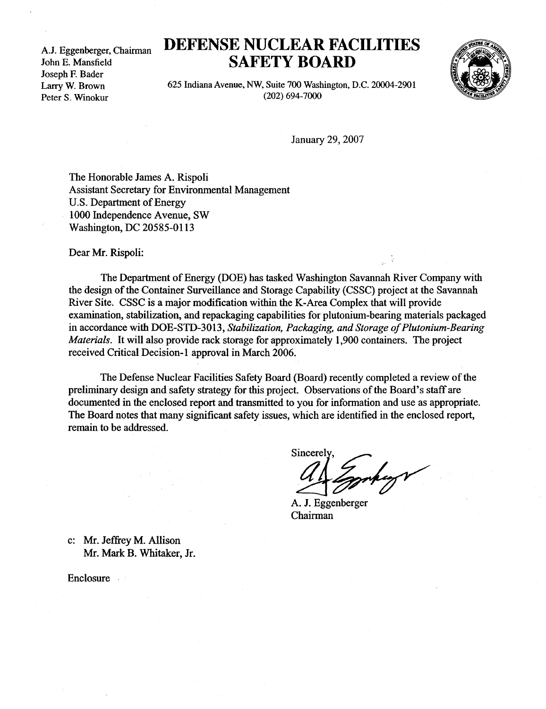A.J. Eggenberger, Chairman John E. Mansfield Joseph F. Bader Larry W. Brown Peter S. Winokur

## DEFENSE NUCLEAR FACILITIES SAFETY BOARD



625 Indiana Avenue, NW, Suite 700 Washington, D.C. 20004-2901 (202) 694-7000

January 29, 2007

The Honorable James A. Rispoli Assistant Secretary for Environmental Management U.S. Department of Energy 1000 Independence Avenue, SW Washington, DC 20585-0113

Dear Mr. Rispoli:

The Department of Energy (DOE) has tasked Washington Savannah River Company with the design of the Container Surveillance and Storage Capability (CSSC) project at the Savannah River Site. CSSC is a major modification within the K-Area Complex that will provide examination, stabilization, and repackaging capabilities for plutonium-bearing materials packaged in accordance with DOE-STD-3013, Stabilization, Packaging, and Storage of Plutonium-Bearing Materials. It will also provide rack storage for approximately 1,900 containers. The project received Critical Decision-1 approval in March 2006.

The Defense Nuclear Facilities Safety Board (Board) recently completed a review of the preliminary design and safety strategy for this project . Observations of the Board's staff are documented in the enclosed report and transmitted to you for information and use as appropriate. The Board notes that many significant safety issues, which are identified in the enclosed report, remain to be addressed.

Sincerely

A. J. Eggenberger Chairman

c: Mr. Jeffrey M. Allison Mr. Mark B. Whitaker, Jr.

Enclosure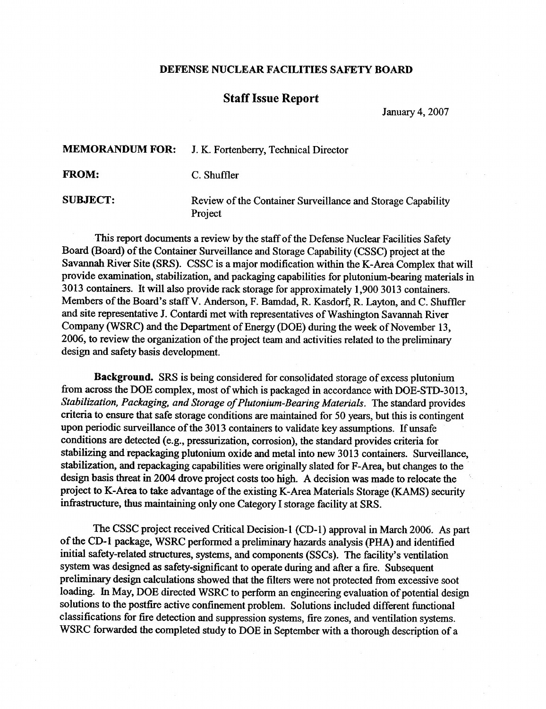## DEFENSE NUCLEAR FACILITIES SAFETY BOARD

## Staff Issue Report

January 4, 2007

MEMORANDUM FOR: J. K. Fortenberry, Technical Director FROM: C. Shuffler

SUBJECT: Review of the Container Surveillance and Storage Capability Project

This report documents a review by the staff of the Defense Nuclear Facilities Safety Board (Board) of the Container Surveillance and Storage Capability (CSSC) project at the Savannah River Site (SRS). CSSC is a major modification within the K-Area Complex that will provide examination, stabilization, and packaging capabilities for plutonium-bearing materials in 3013 containers. It will also provide rack storage for approximately 1,900 3013 containers. Members of the Board's staff V. Anderson, F. Bamdad, R. Kasdorf, R. Layton, and C. Shuffler and site representative J. Contardi met with representatives of Washington Savannah River Company (WSRC) and the Department of Energy (DOE) during the week of November 13, 2006, to review the organization of the project team and activities related to the preliminary design and safety basis development.

Background. SRS is being considered for consolidated storage of excess plutonium from across the DOE complex, most of which is packaged in accordance with DOE-STD-3013, Stabilization, Packaging, and Storage of Plutonium-Bearing Materials. The standard provides criteria to ensure that safe storage conditions are maintained for 50 years, but this is contingent upon periodic surveillance of the 3013 containers to validate key assumptions. If unsafe conditions are detected (e.g., pressurization, corrosion), the standard provides criteria for stabilizing and repackaging plutonium oxide and metal into new 3013 containers. Surveillance, stabilization, and repackaging capabilities were originally slated for F-Area, but changes to the design basis threat in 2004 drove project costs too high. A decision was made to relocate the project to K-Area to take advantage of the existing K-Area Materials Storage (KAMS) security infrastructure, thus maintaining only one Category I storage facility at SRS .

The CSSC project received Critical Decision-1 (CD-1) approval in March 2006 . As part of the CD- I package, WSRC performed a preliminary hazards analysis (PHA) and identified initial safety-related structures, systems, and components (SSCs) . The facility's ventilation system was designed as safety-significant to operate during and after a fire. Subsequent preliminary design calculations showed that the filters were not protected from excessive soot loading. In May, DOE directed WSRC to perform an engineering evaluation of potential design solutions to the postfire active confinement problem. Solutions included different functional classifications for fire detection and suppression systems, fire zones, and ventilation systems . WSRC forwarded the completed study to DOE in September with a thorough description of a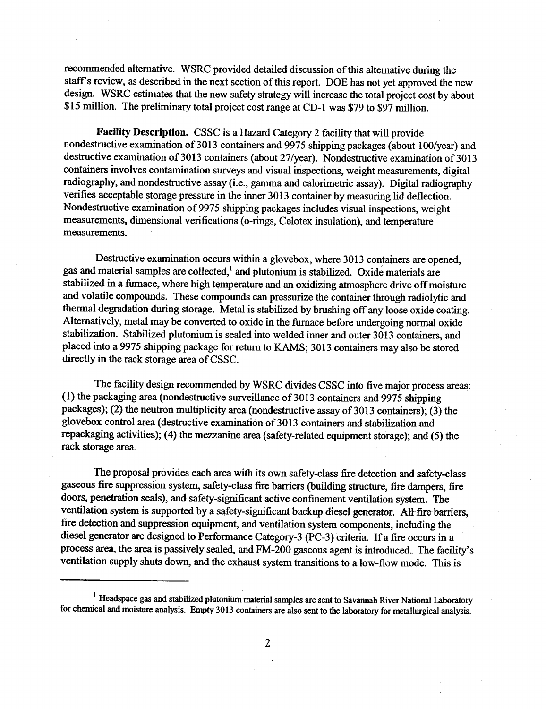recommended alternative. WSRC provided detailed discussion of this alternative during the staff's review, as described in the next section of this report. DOE has not yet approved the new design. WSRC estimates that the new safety strategy will increase the total project cost by about \$15 million. The preliminary total project cost range at CD-1 was \$79 to \$97 million.

Facility Description. CSSC is a Hazard Category 2 facility that will provide nondestructive examination of 3013 containers and 9975 shipping packages (about 100/year) and destructive examination of 3013 containers (about 27/year). Nondestructive examination of 3013 containers involves contamination surveys and visual inspections, weight measurements, digital radiography, and nondestructive assay (i.e., gamma and calorimetric assay). Digital radiography verifies acceptable storage pressure in the inner 3013 container by measuring lid deflection . Nondestructive examination of 9975 shipping packages includes visual inspections, weight measurements, dimensional verifications (o-rings, Celotex insulation), and temperature measurements.

Destructive examination occurs within a glovebox, where 3013 containers are opened, gas and material samples are collected, and plutonium is stabilized. Oxide materials are stabilized in a furnace, where high temperature and an oxidizing atmosphere drive off moisture and volatile compounds . These compounds can pressurize the container through radiolytic and thermal degradation during storage. Metal is stabilized by brushing off any loose oxide coating. Alternatively, metal may be converted to oxide in the furnace before undergoing normal oxide stabilization. Stabilized plutonium is sealed into welded inner and outer 3013 containers, and placed into a 9975 shipping package for return to KAMS; 3013 containers may also be stored directly in the rack storage area of CSSC.

The facility design recommended by WSRC divides CSSC into five major process areas : (1) the packaging area (nondestructive surveillance of 3013 containers and 9975 shipping packages); (2) the neutron multiplicity area (nondestructive assay of 3013 containers); (3) the glovebox control area (destructive examination of 3013 containers and stabilization and repackaging activities); (4) the mezzanine area (safety-related equipment storage); and (5) the rack storage area.

The proposal provides each area with its own safety-class fire detection and safety-class gaseous fire suppression system, safety-class fire barriers (building structure, fire dampers, fire doors, penetration seals), and safety-significant active confinement ventilation system. The ventilation system is supported by a safety-significant backup diesel generator. All fire barriers, fire detection and suppression equipment, and ventilation system components, including the diesel generator are designed to Performance Category-3 (PC-3) criteria. If a fire occurs in a process area, the area is passively sealed, and FM-200 gaseous agent is introduced. The facility's ventilation supply shuts down, and the exhaust system transitions to a low-flow mode. This is

<sup>&</sup>lt;sup>1</sup> Headspace gas and stabilized plutonium material samples are sent to Savannah River National Laboratory for chemical and moisture analysis. Empty 3013 containers are also sent to the laboratory for metallurgical analysis.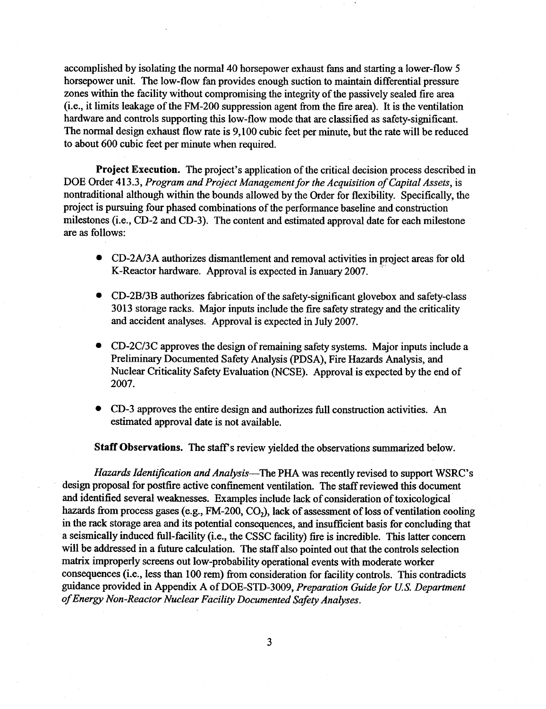accomplished by isolating the normal 40 horsepower exhaust fans and starting a lower-flow 5 horsepower unit. The low-flow fan provides enough suction to maintain differential pressure zones within the facility without compromising the integrity of the passively sealed fire area (i.e., it limits leakage of the FM-200 suppression agent from the fire area). It is the ventilation hardware and controls supporting this low-flow mode that are classified as safety-significant. The normal design exhaust flow rate is 9,100 cubic feet per minute, but the rate will be reduced to about 600 cubic feet per minute when required.

Project Execution. The project's application of the critical decision process described in DOE Order 413.3, Program and Project Management for the Acquisition of Capital Assets, is nontraditional although within the bounds allowed by the Order for flexibility. Specifically, the project is pursuing four phased combinations of the performance baseline and construction milestones (i.e., CD-2 and CD-3). The content and estimated approval date for each milestone are as follows :

- CD-2A/3A authorizes dismantlement and removal activities in project areas for old K-Reactor hardware. Approval is expected in January 2007.
- CD-2B/3B authorizes fabrication of the safety-significant glovebox and safety-class 3013 storage racks . Major inputs include the fire safety strategy and the criticality and accident analyses. Approval is expected in July 2007.
- CD-2C/3C approves the design of remaining safety systems. Major inputs include a Preliminary Documented Safety Analysis (PDSA), Fire Hazards Analysis, and Nuclear Criticality Safety Evaluation (NCSE). Approval is expected by the end of 2007.
- CD-3 approves the entire design and authorizes full construction activities . An estimated approval date is not available.

Staff Observations. The staff's review yielded the observations summarized below .

Hazards Identification and Analysis—The PHA was recently revised to support WSRC's design proposal for postfire active confinement ventilation. The staff reviewed this document and identified several weaknesses. Examples include lack of consideration of toxicological hazards from process gases (e.g., FM-200, CO<sub>2</sub>), lack of assessment of loss of ventilation cooling in the rack storage area and its potential consequences, and insufficient basis for concluding that a seismically induced full-facility (i.e., the CSSC facility) fire is incredible. This latter concern will be addressed in a future calculation. The staff also pointed out that the controls selection matrix improperly screens out low-probability operational events with moderate worker consequences (i.e., less than 100 rem) from consideration for facility controls. This contradicts guidance provided in Appendix A of DOE-STD-3009, Preparation Guide for U.S. Department of Energy Non-Reactor Nuclear Facility Documented Safety Analyses .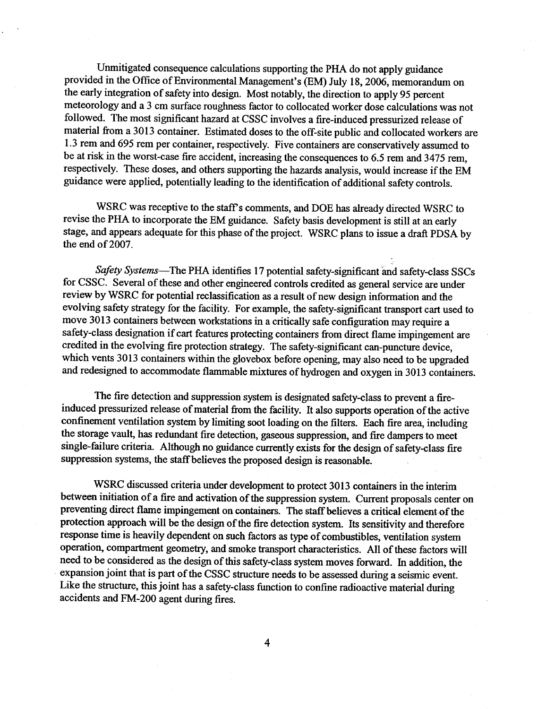Unmitigated consequence calculations supporting the PHA do not apply guidance provided in the Office of Environmental Management's (EM) July 18, 2006, memorandum on the early integration of safety into design. Most notably, the direction to apply 95 percent meteorology and a 3 cm surface roughness factor to collocated worker dose calculations was not followed. The most significant hazard at CSSC involves a fire-induced pressurized release of material from a 3013 container. Estimated doses to the off-site public and collocated workers are 1 .3 rem and 695 rem per container, respectively . Five containers are conservatively assumed to be at risk in the worst-case fire accident, increasing the consequences to 6 .5 rem and 3475 rem, respectively. These doses, and others supporting the hazards analysis, would increase if the EM guidance were applied, potentially leading to the identification of additional safety controls .

WSRC was receptive to the staff's comments, and DOE has already directed WSRC to revise the PHA to incorporate the EM guidance . Safety basis development is still at an early stage, and appears adequate for this phase of the project. WSRC plans to issue a draft PDSA by the end of 2007.

Safety Systems-The PHA identifies 17 potential safety-significant and safety-class SSCs for CSSC. Several of these and other engineered controls credited as general service are under review by WSRC for potential reclassification as a result of new design information and the evolving safety strategy for the facility. For example, the safety-significant transport cart used to move 3013 containers between workstations in a critically safe configuration may require a safety-class designation if cart features protecting containers from direct flame impingement are credited in the evolving fire protection strategy. The safety-significant can-puncture device, which vents 3013 containers within the glovebox before opening, may also need to be upgraded and redesigned to accommodate flammable mixtures of hydrogen and oxygen in 3013 containers .

The fire detection and suppression system is designated safety-class to prevent a fireinduced pressurized release of material from the facility. It also supports operation of the active confinement ventilation system by limiting soot loading on the filters. Each fire area, including the storage vault, has redundant fire detection, gaseous suppression, and fire dampers to meet single-failure criteria. Although no guidance currently exists for the design of safety-class fire suppression systems, the staff believes the proposed design is reasonable .

WSRC discussed criteria under development to protect 3013 containers in the interim between initiation of a fire and activation of the suppression system. Current proposals center on preventing direct flame impingement on containers. The staff believes a critical element of the protection approach will be the design of the fire detection system. Its sensitivity and therefore response time is heavily dependent on such factors as type of combustibles, ventilation system operation, compartment geometry, and smoke transport characteristics . All of these factors will need to be considered as the design of this safety-class system moves forward . In addition, the expansion joint that is part of the CSSC structure needs to be assessed during a seismic event . Like the structure, this joint has a safety-class function to confine radioactive material during accidents and FM-200 agent during fires.